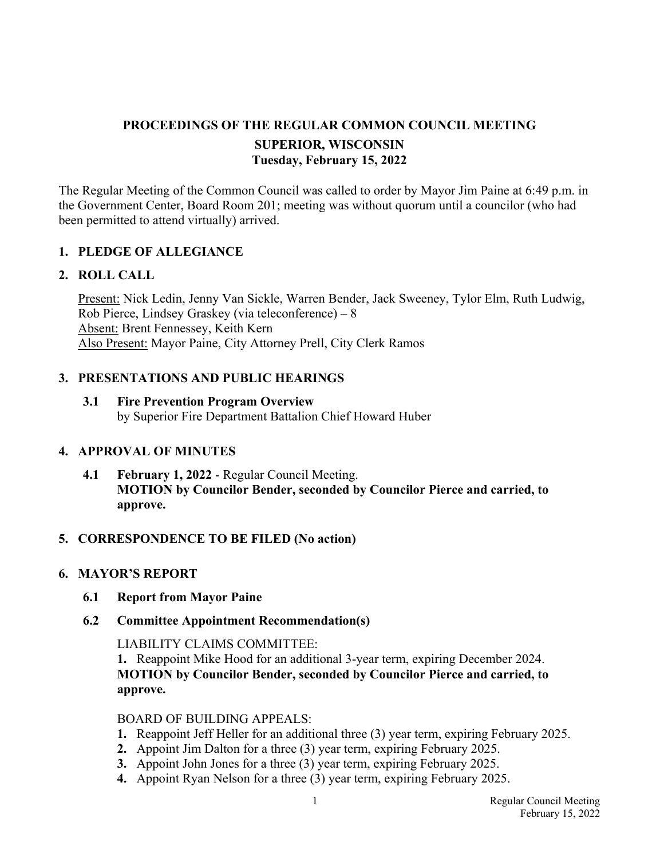## **PROCEEDINGS OF THE REGULAR COMMON COUNCIL MEETING SUPERIOR, WISCONSIN Tuesday, February 15, 2022**

The Regular Meeting of the Common Council was called to order by Mayor Jim Paine at 6:49 p.m. in the Government Center, Board Room 201; meeting was without quorum until a councilor (who had been permitted to attend virtually) arrived.

## **1. PLEDGE OF ALLEGIANCE**

#### **2. ROLL CALL**

Present: Nick Ledin, Jenny Van Sickle, Warren Bender, Jack Sweeney, Tylor Elm, Ruth Ludwig, Rob Pierce, Lindsey Graskey (via teleconference) – 8 Absent: Brent Fennessey, Keith Kern Also Present: Mayor Paine, City Attorney Prell, City Clerk Ramos

## **3. PRESENTATIONS AND PUBLIC HEARINGS**

 **3.1 Fire Prevention Program Overview**  by Superior Fire Department Battalion Chief Howard Huber

#### **4. APPROVAL OF MINUTES**

**4.1 February 1, 2022** - Regular Council Meeting. **MOTION by Councilor Bender, seconded by Councilor Pierce and carried, to approve.**

#### **5. CORRESPONDENCE TO BE FILED (No action)**

#### **6. MAYOR'S REPORT**

- **6.1 Report from Mayor Paine**
- **6.2 Committee Appointment Recommendation(s)**

LIABILITY CLAIMS COMMITTEE:

 **1.** Reappoint Mike Hood for an additional 3-year term, expiring December 2024.  **MOTION by Councilor Bender, seconded by Councilor Pierce and carried, to approve.** 

#### BOARD OF BUILDING APPEALS:

- **1.** Reappoint Jeff Heller for an additional three (3) year term, expiring February 2025.
- **2.** Appoint Jim Dalton for a three (3) year term, expiring February 2025.
- **3.** Appoint John Jones for a three (3) year term, expiring February 2025.
- **4.** Appoint Ryan Nelson for a three (3) year term, expiring February 2025.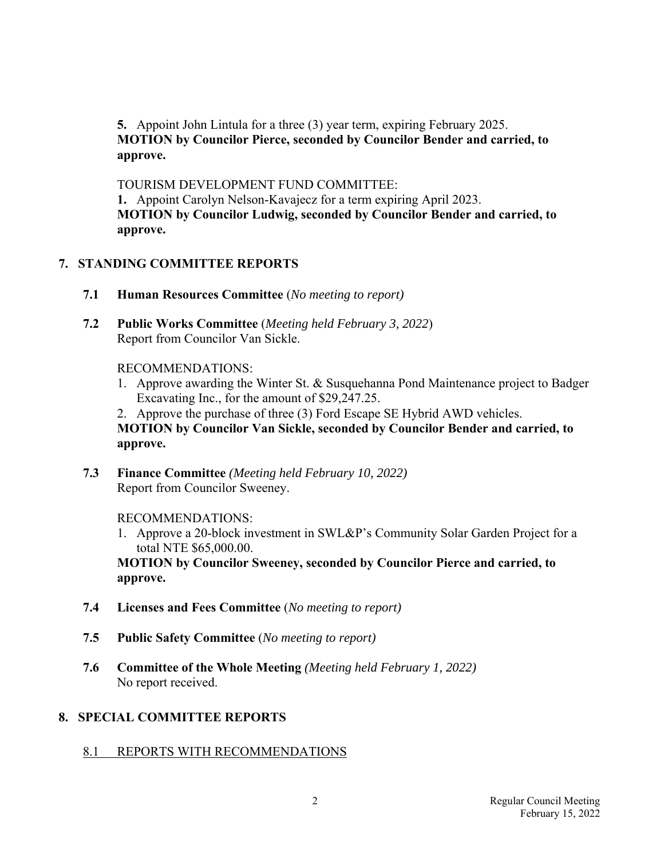**5.** Appoint John Lintula for a three (3) year term, expiring February 2025.  **MOTION by Councilor Pierce, seconded by Councilor Bender and carried, to approve.** 

 TOURISM DEVELOPMENT FUND COMMITTEE:  **1.** Appoint Carolyn Nelson-Kavajecz for a term expiring April 2023.  **MOTION by Councilor Ludwig, seconded by Councilor Bender and carried, to approve.** 

## **7. STANDING COMMITTEE REPORTS**

- **7.1 Human Resources Committee** (*No meeting to report)*
- **7.2 Public Works Committee** (*Meeting held February 3, 2022*) Report from Councilor Van Sickle.

#### RECOMMENDATIONS:

- 1. Approve awarding the Winter St. & Susquehanna Pond Maintenance project to Badger Excavating Inc., for the amount of \$29,247.25.
- 2. Approve the purchase of three (3) Ford Escape SE Hybrid AWD vehicles.

 **MOTION by Councilor Van Sickle, seconded by Councilor Bender and carried, to approve.** 

 **7.3 Finance Committee** *(Meeting held February 10, 2022)*  Report from Councilor Sweeney.

## RECOMMENDATIONS:

 1. Approve a 20-block investment in SWL&P's Community Solar Garden Project for a total NTE \$65,000.00.

 **MOTION by Councilor Sweeney, seconded by Councilor Pierce and carried, to approve.** 

- **7.4 Licenses and Fees Committee** (*No meeting to report)*
- **7.5 Public Safety Committee** (*No meeting to report)*
- **7.6 Committee of the Whole Meeting** *(Meeting held February 1, 2022)*  No report received.

## **8. SPECIAL COMMITTEE REPORTS**

8.1 REPORTS WITH RECOMMENDATIONS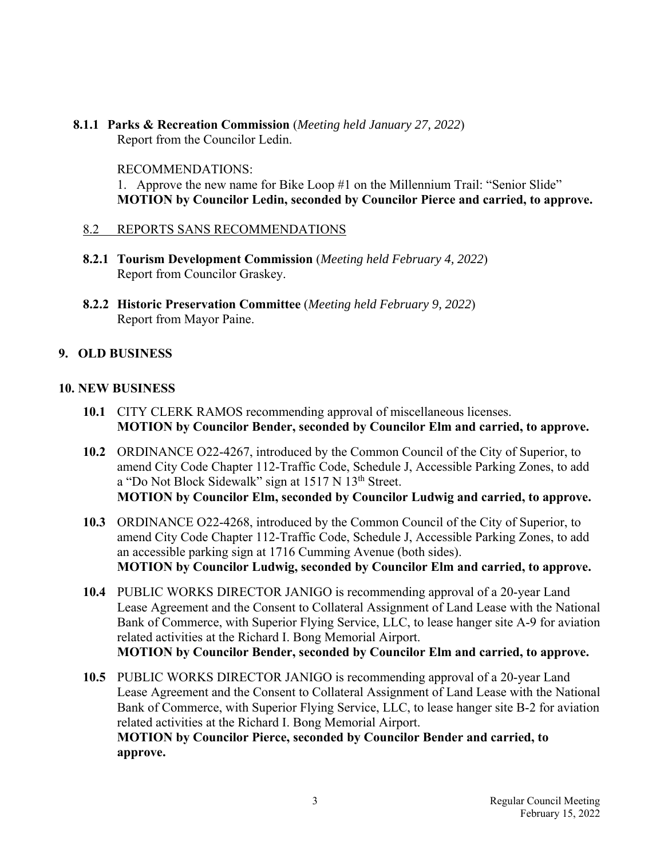# **8.1.1 Parks & Recreation Commission** (*Meeting held January 27, 2022*)

Report from the Councilor Ledin.

#### RECOMMENDATIONS:

 1. Approve the new name for Bike Loop #1 on the Millennium Trail: "Senior Slide"  **MOTION by Councilor Ledin, seconded by Councilor Pierce and carried, to approve.**

## 8.2 REPORTS SANS RECOMMENDATIONS

- **8.2.1 Tourism Development Commission** (*Meeting held February 4, 2022*) Report from Councilor Graskey.
- **8.2.2 Historic Preservation Committee** (*Meeting held February 9, 2022*) Report from Mayor Paine.

## **9. OLD BUSINESS**

## **10. NEW BUSINESS**

- **10.1** CITY CLERK RAMOS recommending approval of miscellaneous licenses. **MOTION by Councilor Bender, seconded by Councilor Elm and carried, to approve.**
- **10.2** ORDINANCE O22-4267, introduced by the Common Council of the City of Superior, to amend City Code Chapter 112-Traffic Code, Schedule J, Accessible Parking Zones, to add a "Do Not Block Sidewalk" sign at 1517 N 13<sup>th</sup> Street. **MOTION by Councilor Elm, seconded by Councilor Ludwig and carried, to approve.**
- **10.3** ORDINANCE O22-4268, introduced by the Common Council of the City of Superior, to amend City Code Chapter 112-Traffic Code, Schedule J, Accessible Parking Zones, to add an accessible parking sign at 1716 Cumming Avenue (both sides). **MOTION by Councilor Ludwig, seconded by Councilor Elm and carried, to approve.**
- **10.4** PUBLIC WORKS DIRECTOR JANIGO is recommending approval of a 20-year Land Lease Agreement and the Consent to Collateral Assignment of Land Lease with the National Bank of Commerce, with Superior Flying Service, LLC, to lease hanger site A-9 for aviation related activities at the Richard I. Bong Memorial Airport. **MOTION by Councilor Bender, seconded by Councilor Elm and carried, to approve.**

 **10.5** PUBLIC WORKS DIRECTOR JANIGO is recommending approval of a 20-year Land Lease Agreement and the Consent to Collateral Assignment of Land Lease with the National Bank of Commerce, with Superior Flying Service, LLC, to lease hanger site B-2 for aviation related activities at the Richard I. Bong Memorial Airport. **MOTION by Councilor Pierce, seconded by Councilor Bender and carried, to approve.**